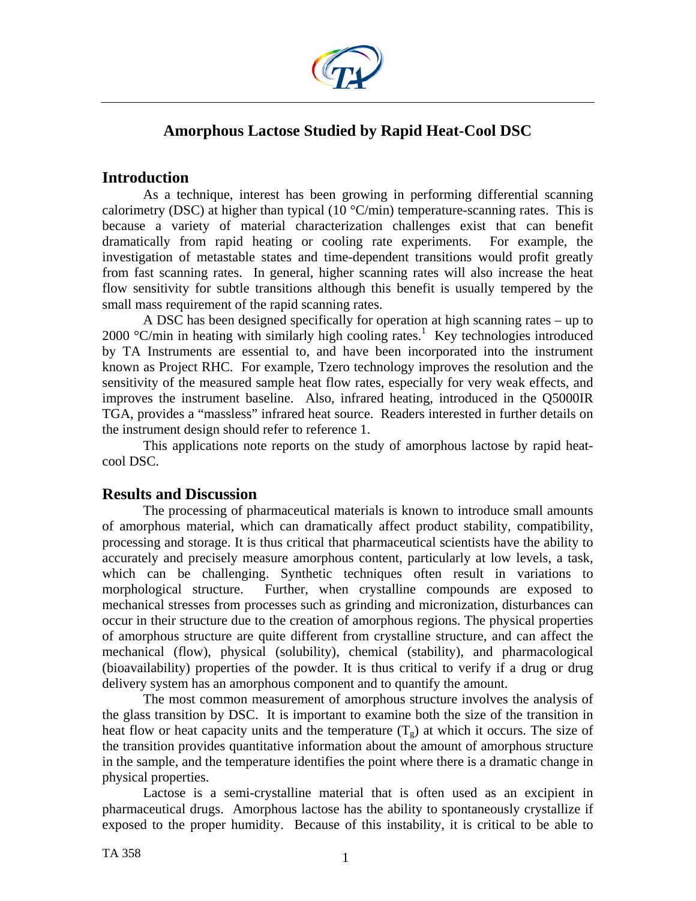

# **Amorphous Lactose Studied by Rapid Heat-Cool DSC**

## **Introduction**

As a technique, interest has been growing in performing differential scanning calorimetry (DSC) at higher than typical (10  $\degree$ C/min) temperature-scanning rates. This is because a variety of material characterization challenges exist that can benefit dramatically from rapid heating or cooling rate experiments. For example, the investigation of metastable states and time-dependent transitions would profit greatly from fast scanning rates. In general, higher scanning rates will also increase the heat flow sensitivity for subtle transitions although this benefit is usually tempered by the small mass requirement of the rapid scanning rates.

 A DSC has been designed specifically for operation at high scanning rates – up to  $2000$  °C/min in heating with similarly high cooling rates.<sup>1</sup> Key technologies introduced by TA Instruments are essential to, and have been incorporated into the instrument known as Project RHC. For example, Tzero technology improves the resolution and the sensitivity of the measured sample heat flow rates, especially for very weak effects, and improves the instrument baseline. Also, infrared heating, introduced in the Q5000IR TGA, provides a "massless" infrared heat source. Readers interested in further details on the instrument design should refer to reference 1.

This applications note reports on the study of amorphous lactose by rapid heatcool DSC.

## **Results and Discussion**

The processing of pharmaceutical materials is known to introduce small amounts of amorphous material, which can dramatically affect product stability, compatibility, processing and storage. It is thus critical that pharmaceutical scientists have the ability to accurately and precisely measure amorphous content, particularly at low levels, a task, which can be challenging. Synthetic techniques often result in variations to morphological structure. Further, when crystalline compounds are exposed to mechanical stresses from processes such as grinding and micronization, disturbances can occur in their structure due to the creation of amorphous regions. The physical properties of amorphous structure are quite different from crystalline structure, and can affect the mechanical (flow), physical (solubility), chemical (stability), and pharmacological (bioavailability) properties of the powder. It is thus critical to verify if a drug or drug delivery system has an amorphous component and to quantify the amount.

The most common measurement of amorphous structure involves the analysis of the glass transition by DSC. It is important to examine both the size of the transition in heat flow or heat capacity units and the temperature  $(T_g)$  at which it occurs. The size of the transition provides quantitative information about the amount of amorphous structure in the sample, and the temperature identifies the point where there is a dramatic change in physical properties.

Lactose is a semi-crystalline material that is often used as an excipient in pharmaceutical drugs. Amorphous lactose has the ability to spontaneously crystallize if exposed to the proper humidity. Because of this instability, it is critical to be able to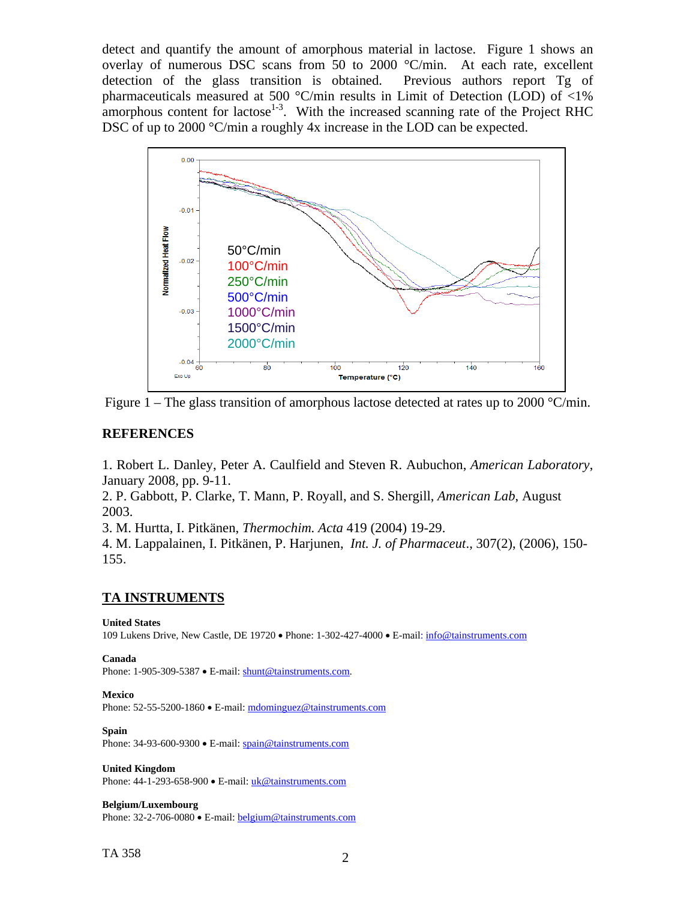detect and quantify the amount of amorphous material in lactose. Figure 1 shows an overlay of numerous DSC scans from 50 to 2000 °C/min. At each rate, excellent detection of the glass transition is obtained. Previous authors report Tg of pharmaceuticals measured at 500 °C/min results in Limit of Detection (LOD) of <1% amorphous content for lactose<sup>1-3</sup>. With the increased scanning rate of the Project RHC DSC of up to 2000 °C/min a roughly 4x increase in the LOD can be expected.



Figure 1 – The glass transition of amorphous lactose detected at rates up to 2000  $\degree$ C/min.

## **REFERENCES**

1. Robert L. Danley, Peter A. Caulfield and Steven R. Aubuchon, *American Laboratory*, January 2008, pp. 9-11.

2. P. Gabbott, P. Clarke, T. Mann, P. Royall, and S. Shergill, *American Lab*, August 2003.

3. M. Hurtta, I. Pitkänen, *Thermochim. Acta* 419 (2004) 19-29.

4. M. Lappalainen, I. Pitkänen, P. Harjunen, *Int. J. of Pharmaceut*., 307(2), (2006), 150- 155.

## **TA INSTRUMENTS**

### **United States**

109 Lukens Drive, New Castle, DE 19720 • Phone: 1-302-427-4000 • E-mail: [info@tainstruments.com](mailto:info@tainstruments.com) 

### **Canada**

Phone: 1-905-309-5387 • E-mail: [shunt@tainstruments.com.](mailto:shunt@tainstruments.com)

## **Mexico**

Phone: 52-55-5200-1860 • E-mail: mdominguez@tainstruments.com

## **Spain**

Phone: 34-93-600-9300 • E-mail: spain@tainstruments.com

**United Kingdom**

Phone: 44-1-293-658-900 • E-mail: uk@tainstruments.com

### **Belgium/Luxembourg**

Phone: 32-2-706-0080 • E-mail: belgium@tainstruments.com